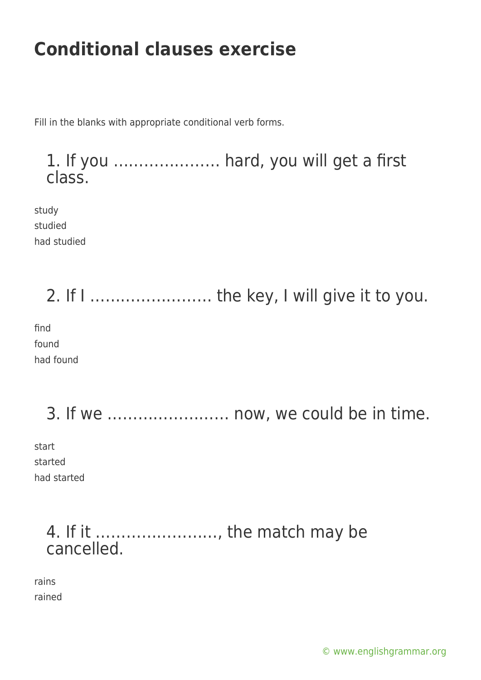Fill in the blanks with appropriate conditional verb forms.

1. If you ………………… hard, you will get a first class.

study studied had studied

2. If I …………………… the key, I will give it to you. find found had found

3. If we …………………… now, we could be in time.

start started had started

### 4. If it ……………………, the match may be cancelled.

rains rained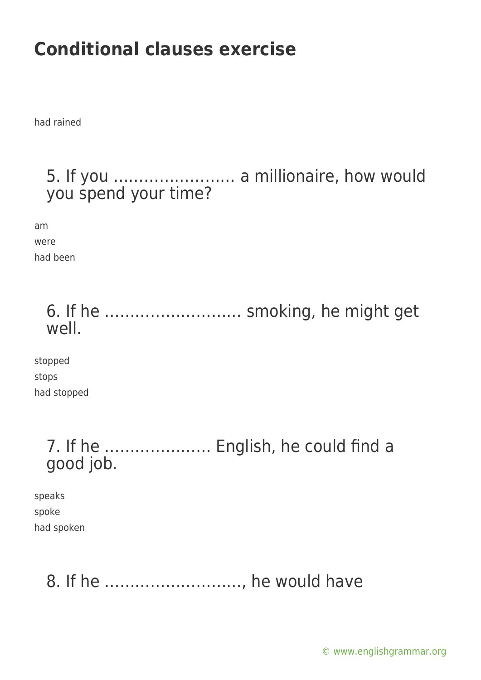had rained

#### 5. If you …………………… a millionaire, how would you spend your time?

am were had been

### 6. If he ……………………… smoking, he might get well.

stopped stops had stopped

#### 7. If he ………………… English, he could find a good job.

speaks spoke had spoken

### 8. If he ………………………, he would have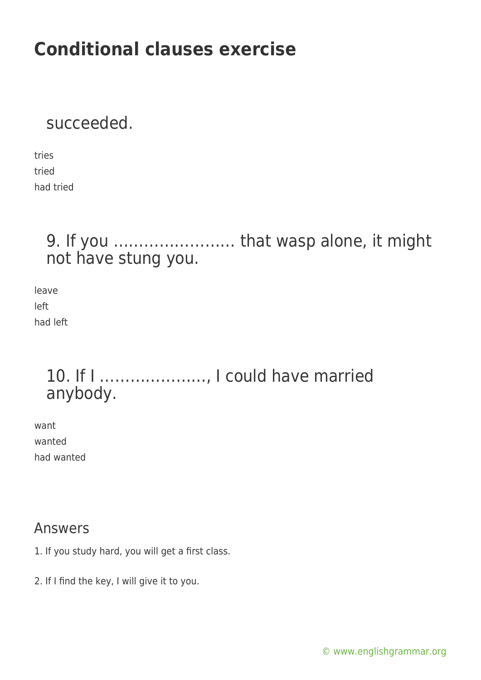#### succeeded.

tries tried had tried

#### 9. If you …………………… that wasp alone, it might not have stung you.

leave left had left

### 10. If I …………………, I could have married anybody.

want wanted had wanted

#### Answers

- 1. If you study hard, you will get a first class.
- 2. If I find the key, I will give it to you.